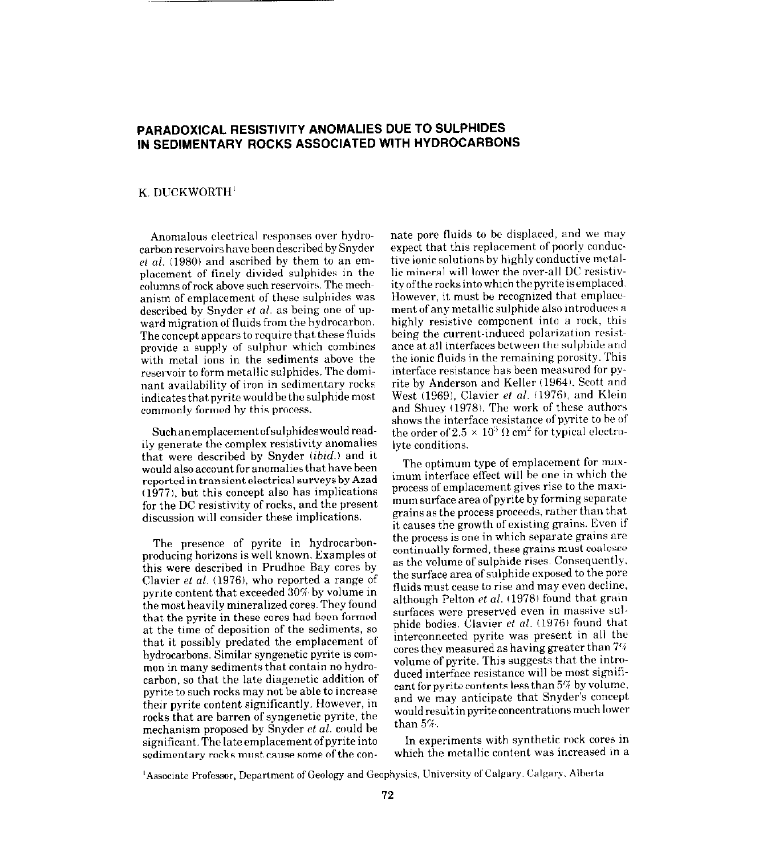## PARADOXICAL RESISTIVITY ANOMALIES DUE TO SULPHIDES IN SEDIMENTARY ROCKS ASSOCIATED WITH HYDROCARBONS

## K. DUCKWORTH'

Anomalous electrical responses over hydrocarbon reservoirs have been described by Snyder  $et$  al. (1980) and ascribed by them to an emplacement of finely divided sulphides in the columns of rock above such reservoirs. The mechanism of emplacement of these sulphides was described by Snyder et al. as being one of upward migration of fluids from the hydrocarbon. The concept appears to require that these fluids provide a supply of sulphur which combines with metal ions in the sediments above the reservoir to form metallic sulphides. The dominant availability of iron in sedimentary rocks indicates that pyrite would be the sulphide most commonly formed by this process.

Such an emplacement of sulphides would readily generate the complex resistivity anomalies that were described by Snyder  $(ibid.)$  and it would also account for anomalies that have been reported in transient electrical surveys by Azad  $(1977)$ , but this concept also has implications for the DC resistivity of rocks, and the present discussion will consider these implications.

The presence of pyrite in hydrocarbonproducing horizons is well known. Examples of this were described in Prudhoe Bay cores by Clavier et al.  $(1976)$ , who reported a range of pyrite content that exceeded  $30\%$  by volume in the most heavily mineralized cores. They found that the pyrite in these cores had been formed at the time of deposition of the sediments, so that it possibly predated the emplacement of hydrocarbons, Similar syngenetic pyrite is common in many sediments that contain no hydrocarbon, so that the late diagenetic addition of pyrite to such rocks may not be able to increase their pyrite content significantly. However, in rocks that are barren of syngenetic pyrite, the mechanism proposed by Snyder et al. could be significant. The late emplacement of pyrite into sedimentary rocks must cause some of the connate pore fluids to be displaced, and we may expect that this replacement of poorly conductive ionic solutions by highly conductive metallic mineral will lower the over-all DC resistivity of the rocks into which the pyrite is emplaced. However, it must be recognized that emplacement of any metallic sulphide also introduces a highly resistive component into a rock, this being the current-induced polarisation resistance at all interfaces between the sulphide and the ionic fluids in the remaining porosity. This interface resistance has been measured for pyrite by Anderson and Keller (1964), Scott and West (1969), Clavier et al. (1976), and Klein and Shuey (1978). The work of these authors shows the interface resistance of pyrite to he of the order of  $2.5 \times 10^3 \,\Omega$  cm<sup>2</sup> for typical electrolyte conditions.

The optimum type of emplacement for maximum interface effect will be one in which the process of emplacement gives rise to the maximum surface area of pyrite by forming separate grains as the process proceeds, rather than that it causes the growth of existing grains. Even if the process is one in which separate grains are continually formed, these grains must coalesce as the volume of sulphide rises. Consequently. the surface area of sulphide exposed to the pore fluids must cease to rise and may even decline. although Pelton et al. (1978) found that grain surfaces were preserved even in massive sulphide bodies. Clavier et al. (1976) found that interconnected pyrite was present in all the cores they measured as having greater than  $7\%$ volume of pyrite. This suggests that the introduced interface resistance will be most significant for pyrite contents less than  $5\%$  by volume, and we may anticipate that Snyder's concept would result in pyrite concentrations much lower than 5%

In experiments with synthetic rock cores in which the metallic content was increased in a

<sup>1</sup> Associate Professor, Department of Geology and Geophysics, University of Calgary. Calgary. Alberta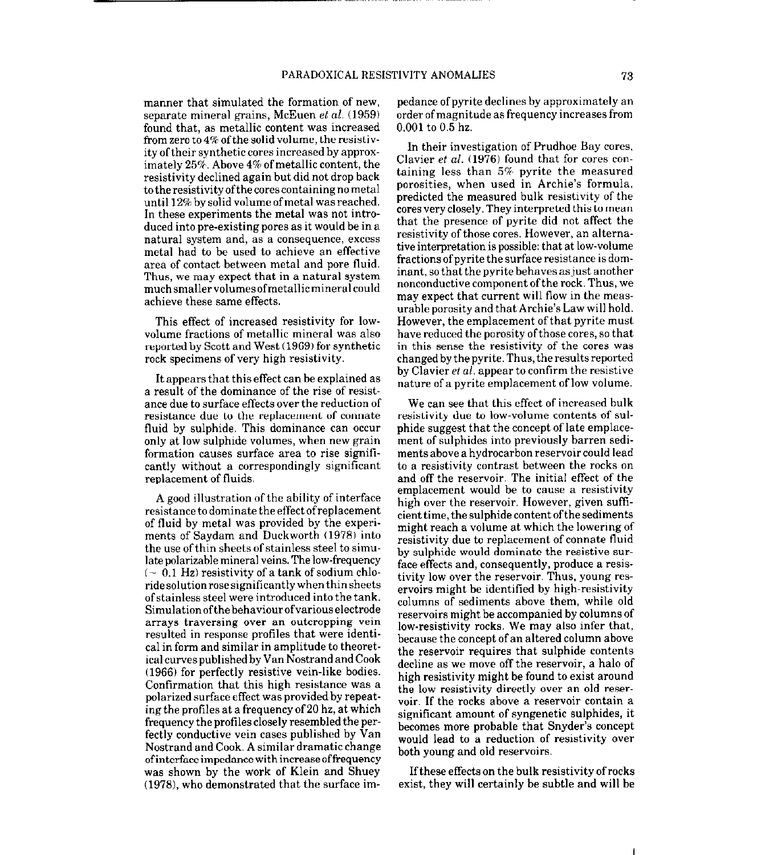manner that simulated the formation of new, separate mineral grains, McEuen et al. (1959) found that, as metallic content was increased from zero to  $4\%$  of the solid volume, the resistivity of their synthetic cores increased by approximately  $25\%$ . Above  $4\%$  of metallic content, the resistivity declined again but did not drop back to the resistivity of the cores containing no metal until 12% bysolidvolumeofmetal wasreached. In these experiments the metal was not introduced into pre-existing pores as it would be in a natural system and, as a consequence, excess metal had to be used to achieve an effective area of contact between metal and pore fluid. Thus, we may expect that in a natural system muchsmallervolumesofmetallicmineralcould achieve these same effects.

This effect of increased resistivity for lowvolume fractions of metallic mineral was also reported by Scott and West (1969) for synthetic rock specimens of very high resistivity.

It appears that this effect can be explained as a result of the dominance of the rise of resistance due to surface effects over the reduction of resistance due to the replacement of connate fluid by sulphide. This dominance can occur only at low sulphide volumes, when new grain formation causes surface area to rise significantly without a correspondingly significant replacement of fluids.

A good illustration of the ability of interface resistance to dominate the effect of replacement of fluid by metal was provided by the experiments of Saydam and Duckworth (1978) into the use of thin sheets of stainless steel to simulate polarizable mineral veins. The low-frequency  $\sim 0.1$  Hz) resistivity of a tank of sodium chloridesolutionrosesignificantlywhenthinsheets ofstainless steel were introduced into the tank. Simulationofthebehaviourofvariouselectrode arrays traversing over an outcropping vein resulted in response profiles that were identical in form and similar in amplitude to theoretical curves published by Van Nostrand and Cook (1966) for perfectly resistive vein-like bodies. Confirmation that this high resistance was a polarized surface effect was provided by repeating the profiles at a frequency of 20 hz, at which frequency the profiles closely resembled the perfectly conductive vein cases published by Van Nostrand and Cook. A similar dramatic change ofinterfaceimpedance with increaseoffrequency was shown by the work of Klein and Shuey (1978), who demonstrated that the surface im-

pedance of pyrite declines by approximately an order ofmagnitude as frequency increases from 0.001 to 0.5 hz.

In their investigation of Prudhoe Bay cores. Clavier et al. (1976) found that for cores containing less than 5%, pyrite the measured porosities, when used in Archie's formula, predicted the measured bulk resistivity of the cores very closely. They interpreted this to mean that the presence of pyrite did not affect the resistivity of those cores. However, an alternative interpretation is possible: that at low-volume fractions of pyrite the surface resistance is dominant, so that the pyrite behaves as just another nonconductive component ofthe rock. Thus, we may expect that current will flow in the measurable porosity and that Archie's Law will hold. However, the emplacement of that pyrite must have reduced the porosity of those cores, so that in this sense the resistivity of the cores was changed by the pyrite. Thus, the results reported by Clavier *et al.* appear to confirm the resistive nature of a pyrite emplacement of low volume.

We can see that this effect of increased bulk resistivity due to low-volume contents of sulphide suggest that the concept of late emplacement of sulphides into previously barren sediments above a hydrocarbon reservoir could lead to a resistivity contrast between the rocks on and off the reservoir. The initial effect of the emplacement would be to cause a resistivity high over the reservoir. However, given sufficient time, the sulphide content of the sediments might reach a volume at which the lowering of resistivity due to replacement of connate fluid by sulphide would dominate the resistive surface effects and, consequently, produce a resistivity low over the reservoir. Thus, young reservoirs might be identified by high-resistivity columns of sediments above them, while old reservoirs might be accompanied by columns of low-resistivity rocks. We may also infer that, because the concept of an altered column above the reservoir requires that sulphide contents decline as we move off the reservoir, a halo of high resistivity might be found to exist around the low resistivity directly over an old reservoir. If the rocks above a reservoir contain a significant amount of syngenetic sulphides, it becomes more probable that Snyder's concept would lead to a reduction of resistivity over both young and old reservoirs.

Ifthese effects on the bulk resistivity of rocks exist, they will certainly be subtle and will be

I